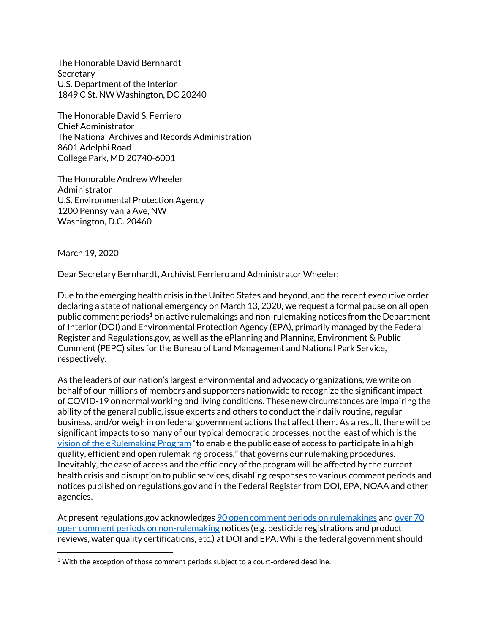The Honorable David Bernhardt **Secretary** U.S. Department of the Interior 1849 C St. NW Washington, DC 20240

The Honorable David S. Ferriero Chief Administrator The National Archives and Records Administration 8601 Adelphi Road College Park, MD 20740-6001

The Honorable Andrew Wheeler Administrator U.S. Environmental Protection Agency 1200 Pennsylvania Ave, NW Washington, D.C. 20460

March 19, 2020

Dear Secretary Bernhardt, Archivist Ferriero and Administrator Wheeler:

Due to the emerging health crisis in the United States and beyond, and the recent executive order declaring a state of national emergency on March 13, 2020, we request a formal pause on all open public comment periods<sup>1</sup> on active rulemakings and non-rulemaking notices from the Department of Interior (DOI) and Environmental Protection Agency (EPA), primarily managed by the Federal Register and Regulations.gov, as well as the ePlanning and Planning, Environment & Public Comment (PEPC) sites for the Bureau of Land Management and National Park Service, respectively.

As the leaders of our nation's largest environmental and advocacy organizations, we write on behalf of our millions of members and supporters nationwide to recognize the significant impact of COVID-19 on normal working and living conditions. These new circumstances are impairing the ability of the general public, issue experts and others to conduct their daily routine, regular business, and/or weigh in on federal government actions that affect them. As a result, there will be significant impacts to so many of our typical democratic processes, not the least of which is the [vision of the eRulemaking Program](https://www.fdms.gov/fdms/public/aboutus) "to enable the public ease of access to participate in a high quality, efficient and open rulemaking process," that governs our rulemaking procedures. Inevitably, the ease of access and the efficiency of the program will be affected by the current health crisis and disruption to public services, disabling responses to various comment periods and notices published on regulations.gov and in the Federal Register from DOI, EPA, NOAA and other agencies.

At present regulations.gov acknowledge[s 90 open comment periods on rulemakings](https://www.regulations.gov/searchResults?rpp=25&so=DESC&sb=postedDate&po=0&cp=O&a=DOI%2BEPA&dkt=R) an[d over 70](https://www.regulations.gov/searchResults?rpp=25&so=DESC&sb=postedDate&po=0&cp=O&a=DOI%2BEPA&dkt=N)  [open comment periods on non-rulemaking](https://www.regulations.gov/searchResults?rpp=25&so=DESC&sb=postedDate&po=0&cp=O&a=DOI%2BEPA&dkt=N) notices (e.g. pesticide registrations and product reviews, water quality certifications, etc.) at DOI and EPA. While the federal government should

 $1$  With the exception of those comment periods subject to a court-ordered deadline.